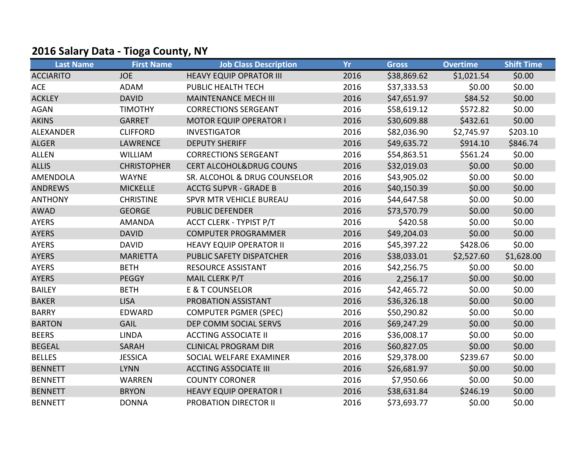## 2016 Salary Data - Tioga County, NY

| <b>Last Name</b> | <b>First Name</b>  | <b>Job Class Description</b>       | <b>Yr</b> | <b>Gross</b> | <b>Overtime</b> | <b>Shift Time</b> |
|------------------|--------------------|------------------------------------|-----------|--------------|-----------------|-------------------|
| <b>ACCIARITO</b> | <b>JOE</b>         | <b>HEAVY EQUIP OPRATOR III</b>     | 2016      | \$38,869.62  | \$1,021.54      | \$0.00            |
| <b>ACE</b>       | <b>ADAM</b>        | PUBLIC HEALTH TECH                 | 2016      | \$37,333.53  | \$0.00          | \$0.00            |
| <b>ACKLEY</b>    | <b>DAVID</b>       | <b>MAINTENANCE MECH III</b>        | 2016      | \$47,651.97  | \$84.52         | \$0.00            |
| <b>AGAN</b>      | <b>TIMOTHY</b>     | <b>CORRECTIONS SERGEANT</b>        | 2016      | \$58,619.12  | \$572.82        | \$0.00            |
| <b>AKINS</b>     | <b>GARRET</b>      | <b>MOTOR EQUIP OPERATOR I</b>      | 2016      | \$30,609.88  | \$432.61        | \$0.00            |
| <b>ALEXANDER</b> | <b>CLIFFORD</b>    | <b>INVESTIGATOR</b>                | 2016      | \$82,036.90  | \$2,745.97      | \$203.10          |
| <b>ALGER</b>     | <b>LAWRENCE</b>    | <b>DEPUTY SHERIFF</b>              | 2016      | \$49,635.72  | \$914.10        | \$846.74          |
| <b>ALLEN</b>     | <b>WILLIAM</b>     | <b>CORRECTIONS SERGEANT</b>        | 2016      | \$54,863.51  | \$561.24        | \$0.00            |
| <b>ALLIS</b>     | <b>CHRISTOPHER</b> | <b>CERT ALCOHOL&amp;DRUG COUNS</b> | 2016      | \$32,019.03  | \$0.00          | \$0.00            |
| <b>AMENDOLA</b>  | <b>WAYNE</b>       | SR. ALCOHOL & DRUG COUNSELOR       | 2016      | \$43,905.02  | \$0.00          | \$0.00            |
| <b>ANDREWS</b>   | <b>MICKELLE</b>    | <b>ACCTG SUPVR - GRADE B</b>       | 2016      | \$40,150.39  | \$0.00          | \$0.00            |
| <b>ANTHONY</b>   | <b>CHRISTINE</b>   | SPVR MTR VEHICLE BUREAU            | 2016      | \$44,647.58  | \$0.00          | \$0.00            |
| <b>AWAD</b>      | <b>GEORGE</b>      | <b>PUBLIC DEFENDER</b>             | 2016      | \$73,570.79  | \$0.00          | \$0.00            |
| <b>AYERS</b>     | <b>AMANDA</b>      | <b>ACCT CLERK - TYPIST P/T</b>     | 2016      | \$420.58     | \$0.00          | \$0.00            |
| <b>AYERS</b>     | <b>DAVID</b>       | <b>COMPUTER PROGRAMMER</b>         | 2016      | \$49,204.03  | \$0.00          | \$0.00            |
| <b>AYERS</b>     | <b>DAVID</b>       | <b>HEAVY EQUIP OPERATOR II</b>     | 2016      | \$45,397.22  | \$428.06        | \$0.00            |
| <b>AYERS</b>     | <b>MARIETTA</b>    | PUBLIC SAFETY DISPATCHER           | 2016      | \$38,033.01  | \$2,527.60      | \$1,628.00        |
| <b>AYERS</b>     | <b>BETH</b>        | <b>RESOURCE ASSISTANT</b>          | 2016      | \$42,256.75  | \$0.00          | \$0.00            |
| <b>AYERS</b>     | <b>PEGGY</b>       | MAIL CLERK P/T                     | 2016      | 2,256.17     | \$0.00          | \$0.00            |
| <b>BAILEY</b>    | <b>BETH</b>        | <b>E &amp; T COUNSELOR</b>         | 2016      | \$42,465.72  | \$0.00          | \$0.00            |
| <b>BAKER</b>     | <b>LISA</b>        | PROBATION ASSISTANT                | 2016      | \$36,326.18  | \$0.00          | \$0.00            |
| <b>BARRY</b>     | EDWARD             | <b>COMPUTER PGMER (SPEC)</b>       | 2016      | \$50,290.82  | \$0.00          | \$0.00            |
| <b>BARTON</b>    | <b>GAIL</b>        | DEP COMM SOCIAL SERVS              | 2016      | \$69,247.29  | \$0.00          | \$0.00            |
| <b>BEERS</b>     | <b>LINDA</b>       | <b>ACCTING ASSOCIATE II</b>        | 2016      | \$36,008.17  | \$0.00          | \$0.00            |
| <b>BEGEAL</b>    | <b>SARAH</b>       | <b>CLINICAL PROGRAM DIR</b>        | 2016      | \$60,827.05  | \$0.00          | \$0.00            |
| <b>BELLES</b>    | <b>JESSICA</b>     | SOCIAL WELFARE EXAMINER            | 2016      | \$29,378.00  | \$239.67        | \$0.00            |
| <b>BENNETT</b>   | <b>LYNN</b>        | <b>ACCTING ASSOCIATE III</b>       | 2016      | \$26,681.97  | \$0.00          | \$0.00            |
| <b>BENNETT</b>   | <b>WARREN</b>      | <b>COUNTY CORONER</b>              | 2016      | \$7,950.66   | \$0.00          | \$0.00            |
| <b>BENNETT</b>   | <b>BRYON</b>       | <b>HEAVY EQUIP OPERATOR I</b>      | 2016      | \$38,631.84  | \$246.19        | \$0.00            |
| <b>BENNETT</b>   | <b>DONNA</b>       | <b>PROBATION DIRECTOR II</b>       | 2016      | \$73,693.77  | \$0.00          | \$0.00            |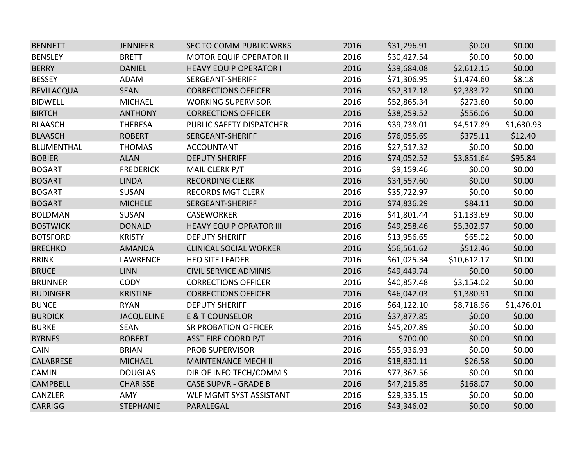| <b>BENNETT</b>    | <b>JENNIFER</b>   | <b>SEC TO COMM PUBLIC WRKS</b> | 2016 | \$31,296.91 | \$0.00      | \$0.00     |
|-------------------|-------------------|--------------------------------|------|-------------|-------------|------------|
| <b>BENSLEY</b>    | <b>BRETT</b>      | <b>MOTOR EQUIP OPERATOR II</b> | 2016 | \$30,427.54 | \$0.00      | \$0.00     |
| <b>BERRY</b>      | <b>DANIEL</b>     | <b>HEAVY EQUIP OPERATOR I</b>  | 2016 | \$39,684.08 | \$2,612.15  | \$0.00     |
| <b>BESSEY</b>     | <b>ADAM</b>       | SERGEANT-SHERIFF               | 2016 | \$71,306.95 | \$1,474.60  | \$8.18     |
| <b>BEVILACQUA</b> | <b>SEAN</b>       | <b>CORRECTIONS OFFICER</b>     | 2016 | \$52,317.18 | \$2,383.72  | \$0.00     |
| <b>BIDWELL</b>    | <b>MICHAEL</b>    | <b>WORKING SUPERVISOR</b>      | 2016 | \$52,865.34 | \$273.60    | \$0.00     |
| <b>BIRTCH</b>     | <b>ANTHONY</b>    | <b>CORRECTIONS OFFICER</b>     | 2016 | \$38,259.52 | \$556.06    | \$0.00     |
| <b>BLAASCH</b>    | <b>THERESA</b>    | PUBLIC SAFETY DISPATCHER       | 2016 | \$39,738.01 | \$4,517.89  | \$1,630.93 |
| <b>BLAASCH</b>    | <b>ROBERT</b>     | SERGEANT-SHERIFF               | 2016 | \$76,055.69 | \$375.11    | \$12.40    |
| <b>BLUMENTHAL</b> | <b>THOMAS</b>     | <b>ACCOUNTANT</b>              | 2016 | \$27,517.32 | \$0.00      | \$0.00     |
| <b>BOBIER</b>     | <b>ALAN</b>       | <b>DEPUTY SHERIFF</b>          | 2016 | \$74,052.52 | \$3,851.64  | \$95.84    |
| <b>BOGART</b>     | <b>FREDERICK</b>  | MAIL CLERK P/T                 | 2016 | \$9,159.46  | \$0.00      | \$0.00     |
| <b>BOGART</b>     | <b>LINDA</b>      | <b>RECORDING CLERK</b>         | 2016 | \$34,557.60 | \$0.00      | \$0.00     |
| <b>BOGART</b>     | <b>SUSAN</b>      | <b>RECORDS MGT CLERK</b>       | 2016 | \$35,722.97 | \$0.00      | \$0.00     |
| <b>BOGART</b>     | <b>MICHELE</b>    | SERGEANT-SHERIFF               | 2016 | \$74,836.29 | \$84.11     | \$0.00     |
| <b>BOLDMAN</b>    | <b>SUSAN</b>      | <b>CASEWORKER</b>              | 2016 | \$41,801.44 | \$1,133.69  | \$0.00     |
| <b>BOSTWICK</b>   | <b>DONALD</b>     | <b>HEAVY EQUIP OPRATOR III</b> | 2016 | \$49,258.46 | \$5,302.97  | \$0.00     |
| <b>BOTSFORD</b>   | <b>KRISTY</b>     | <b>DEPUTY SHERIFF</b>          | 2016 | \$13,956.65 | \$65.02     | \$0.00     |
| <b>BRECHKO</b>    | <b>AMANDA</b>     | <b>CLINICAL SOCIAL WORKER</b>  | 2016 | \$56,561.62 | \$512.46    | \$0.00     |
| <b>BRINK</b>      | LAWRENCE          | <b>HEO SITE LEADER</b>         | 2016 | \$61,025.34 | \$10,612.17 | \$0.00     |
| <b>BRUCE</b>      | <b>LINN</b>       | <b>CIVIL SERVICE ADMINIS</b>   | 2016 | \$49,449.74 | \$0.00      | \$0.00     |
| <b>BRUNNER</b>    | <b>CODY</b>       | <b>CORRECTIONS OFFICER</b>     | 2016 | \$40,857.48 | \$3,154.02  | \$0.00     |
| <b>BUDINGER</b>   | <b>KRISTINE</b>   | <b>CORRECTIONS OFFICER</b>     | 2016 | \$46,042.03 | \$1,380.91  | \$0.00     |
| <b>BUNCE</b>      | <b>RYAN</b>       | <b>DEPUTY SHERIFF</b>          | 2016 | \$64,122.10 | \$8,718.96  | \$1,476.01 |
| <b>BURDICK</b>    | <b>JACQUELINE</b> | <b>E &amp; T COUNSELOR</b>     | 2016 | \$37,877.85 | \$0.00      | \$0.00     |
| <b>BURKE</b>      | <b>SEAN</b>       | <b>SR PROBATION OFFICER</b>    | 2016 | \$45,207.89 | \$0.00      | \$0.00     |
| <b>BYRNES</b>     | <b>ROBERT</b>     | <b>ASST FIRE COORD P/T</b>     | 2016 | \$700.00    | \$0.00      | \$0.00     |
| <b>CAIN</b>       | <b>BRIAN</b>      | <b>PROB SUPERVISOR</b>         | 2016 | \$55,936.93 | \$0.00      | \$0.00     |
| <b>CALABRESE</b>  | <b>MICHAEL</b>    | <b>MAINTENANCE MECH II</b>     | 2016 | \$18,830.11 | \$26.58     | \$0.00     |
| <b>CAMIN</b>      | <b>DOUGLAS</b>    | DIR OF INFO TECH/COMM S        | 2016 | \$77,367.56 | \$0.00      | \$0.00     |
| <b>CAMPBELL</b>   | <b>CHARISSE</b>   | <b>CASE SUPVR - GRADE B</b>    | 2016 | \$47,215.85 | \$168.07    | \$0.00     |
| CANZLER           | <b>AMY</b>        | WLF MGMT SYST ASSISTANT        | 2016 | \$29,335.15 | \$0.00      | \$0.00     |
| <b>CARRIGG</b>    | <b>STEPHANIE</b>  | PARALEGAL                      | 2016 | \$43,346.02 | \$0.00      | \$0.00     |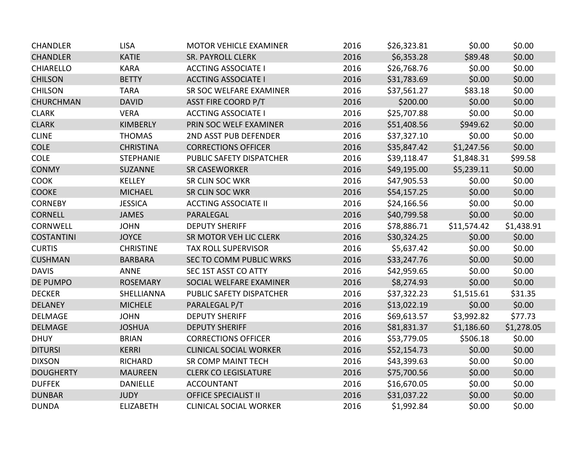| <b>CHANDLER</b>   | <b>LISA</b>      | <b>MOTOR VEHICLE EXAMINER</b> | 2016 | \$26,323.81 | \$0.00      | \$0.00     |
|-------------------|------------------|-------------------------------|------|-------------|-------------|------------|
| <b>CHANDLER</b>   | <b>KATIE</b>     | <b>SR. PAYROLL CLERK</b>      | 2016 | \$6,353.28  | \$89.48     | \$0.00     |
| <b>CHIARELLO</b>  | <b>KARA</b>      | <b>ACCTING ASSOCIATE I</b>    | 2016 | \$26,768.76 | \$0.00      | \$0.00     |
| <b>CHILSON</b>    | <b>BETTY</b>     | <b>ACCTING ASSOCIATE I</b>    | 2016 | \$31,783.69 | \$0.00      | \$0.00     |
| <b>CHILSON</b>    | <b>TARA</b>      | SR SOC WELFARE EXAMINER       | 2016 | \$37,561.27 | \$83.18     | \$0.00     |
| <b>CHURCHMAN</b>  | <b>DAVID</b>     | <b>ASST FIRE COORD P/T</b>    | 2016 | \$200.00    | \$0.00      | \$0.00     |
| <b>CLARK</b>      | <b>VERA</b>      | <b>ACCTING ASSOCIATE I</b>    | 2016 | \$25,707.88 | \$0.00      | \$0.00     |
| <b>CLARK</b>      | <b>KIMBERLY</b>  | PRIN SOC WELF EXAMINER        | 2016 | \$51,408.56 | \$949.62    | \$0.00     |
| <b>CLINE</b>      | <b>THOMAS</b>    | 2ND ASST PUB DEFENDER         | 2016 | \$37,327.10 | \$0.00      | \$0.00     |
| <b>COLE</b>       | <b>CHRISTINA</b> | <b>CORRECTIONS OFFICER</b>    | 2016 | \$35,847.42 | \$1,247.56  | \$0.00     |
| <b>COLE</b>       | <b>STEPHANIE</b> | PUBLIC SAFETY DISPATCHER      | 2016 | \$39,118.47 | \$1,848.31  | \$99.58    |
| <b>CONMY</b>      | <b>SUZANNE</b>   | <b>SR CASEWORKER</b>          | 2016 | \$49,195.00 | \$5,239.11  | \$0.00     |
| <b>COOK</b>       | <b>KELLEY</b>    | <b>SR CLIN SOC WKR</b>        | 2016 | \$47,905.53 | \$0.00      | \$0.00     |
| <b>COOKE</b>      | <b>MICHAEL</b>   | SR CLIN SOC WKR               | 2016 | \$54,157.25 | \$0.00      | \$0.00     |
| <b>CORNEBY</b>    | <b>JESSICA</b>   | <b>ACCTING ASSOCIATE II</b>   | 2016 | \$24,166.56 | \$0.00      | \$0.00     |
| <b>CORNELL</b>    | <b>JAMES</b>     | PARALEGAL                     | 2016 | \$40,799.58 | \$0.00      | \$0.00     |
| <b>CORNWELL</b>   | <b>JOHN</b>      | <b>DEPUTY SHERIFF</b>         | 2016 | \$78,886.71 | \$11,574.42 | \$1,438.91 |
| <b>COSTANTINI</b> | <b>JOYCE</b>     | SR MOTOR VEH LIC CLERK        | 2016 | \$30,324.25 | \$0.00      | \$0.00     |
| <b>CURTIS</b>     | <b>CHRISTINE</b> | <b>TAX ROLL SUPERVISOR</b>    | 2016 | \$5,637.42  | \$0.00      | \$0.00     |
| <b>CUSHMAN</b>    | <b>BARBARA</b>   | SEC TO COMM PUBLIC WRKS       | 2016 | \$33,247.76 | \$0.00      | \$0.00     |
| <b>DAVIS</b>      | <b>ANNE</b>      | SEC 1ST ASST CO ATTY          | 2016 | \$42,959.65 | \$0.00      | \$0.00     |
| <b>DE PUMPO</b>   | <b>ROSEMARY</b>  | SOCIAL WELFARE EXAMINER       | 2016 | \$8,274.93  | \$0.00      | \$0.00     |
| <b>DECKER</b>     | SHELLIANNA       | PUBLIC SAFETY DISPATCHER      | 2016 | \$37,322.23 | \$1,515.61  | \$31.35    |
| <b>DELANEY</b>    | <b>MICHELE</b>   | PARALEGAL P/T                 | 2016 | \$13,022.19 | \$0.00      | \$0.00     |
| <b>DELMAGE</b>    | <b>JOHN</b>      | <b>DEPUTY SHERIFF</b>         | 2016 | \$69,613.57 | \$3,992.82  | \$77.73    |
| <b>DELMAGE</b>    | <b>JOSHUA</b>    | <b>DEPUTY SHERIFF</b>         | 2016 | \$81,831.37 | \$1,186.60  | \$1,278.05 |
| <b>DHUY</b>       | <b>BRIAN</b>     | <b>CORRECTIONS OFFICER</b>    | 2016 | \$53,779.05 | \$506.18    | \$0.00     |
| <b>DITURSI</b>    | <b>KERRI</b>     | <b>CLINICAL SOCIAL WORKER</b> | 2016 | \$52,154.73 | \$0.00      | \$0.00     |
| <b>DIXSON</b>     | <b>RICHARD</b>   | SR COMP MAINT TECH            | 2016 | \$43,399.63 | \$0.00      | \$0.00     |
| <b>DOUGHERTY</b>  | <b>MAUREEN</b>   | <b>CLERK CO LEGISLATURE</b>   | 2016 | \$75,700.56 | \$0.00      | \$0.00     |
| <b>DUFFEK</b>     | <b>DANIELLE</b>  | <b>ACCOUNTANT</b>             | 2016 | \$16,670.05 | \$0.00      | \$0.00     |
| <b>DUNBAR</b>     | <b>JUDY</b>      | <b>OFFICE SPECIALIST II</b>   | 2016 | \$31,037.22 | \$0.00      | \$0.00     |
| <b>DUNDA</b>      | <b>ELIZABETH</b> | <b>CLINICAL SOCIAL WORKER</b> | 2016 | \$1,992.84  | \$0.00      | \$0.00     |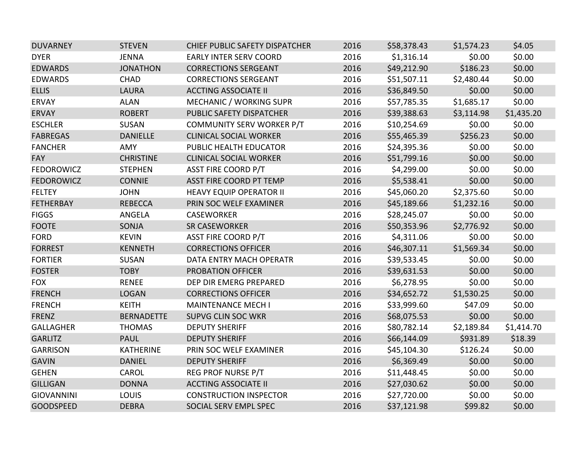| <b>DUVARNEY</b>   | <b>STEVEN</b>     | <b>CHIEF PUBLIC SAFETY DISPATCHER</b> | 2016 | \$58,378.43 | \$1,574.23 | \$4.05     |
|-------------------|-------------------|---------------------------------------|------|-------------|------------|------------|
| <b>DYER</b>       | <b>JENNA</b>      | <b>EARLY INTER SERV COORD</b>         | 2016 | \$1,316.14  | \$0.00     | \$0.00     |
| <b>EDWARDS</b>    | <b>JONATHON</b>   | <b>CORRECTIONS SERGEANT</b>           | 2016 | \$49,212.90 | \$186.23   | \$0.00     |
| <b>EDWARDS</b>    | <b>CHAD</b>       | <b>CORRECTIONS SERGEANT</b>           | 2016 | \$51,507.11 | \$2,480.44 | \$0.00     |
| <b>ELLIS</b>      | <b>LAURA</b>      | <b>ACCTING ASSOCIATE II</b>           | 2016 | \$36,849.50 | \$0.00     | \$0.00     |
| <b>ERVAY</b>      | <b>ALAN</b>       | MECHANIC / WORKING SUPR               | 2016 | \$57,785.35 | \$1,685.17 | \$0.00     |
| <b>ERVAY</b>      | <b>ROBERT</b>     | PUBLIC SAFETY DISPATCHER              | 2016 | \$39,388.63 | \$3,114.98 | \$1,435.20 |
| <b>ESCHLER</b>    | <b>SUSAN</b>      | <b>COMMUNITY SERV WORKER P/T</b>      | 2016 | \$10,254.69 | \$0.00     | \$0.00     |
| <b>FABREGAS</b>   | <b>DANIELLE</b>   | <b>CLINICAL SOCIAL WORKER</b>         | 2016 | \$55,465.39 | \$256.23   | \$0.00     |
| <b>FANCHER</b>    | <b>AMY</b>        | PUBLIC HEALTH EDUCATOR                | 2016 | \$24,395.36 | \$0.00     | \$0.00     |
| FAY               | <b>CHRISTINE</b>  | <b>CLINICAL SOCIAL WORKER</b>         | 2016 | \$51,799.16 | \$0.00     | \$0.00     |
| <b>FEDOROWICZ</b> | <b>STEPHEN</b>    | <b>ASST FIRE COORD P/T</b>            | 2016 | \$4,299.00  | \$0.00     | \$0.00     |
| <b>FEDOROWICZ</b> | <b>CONNIE</b>     | <b>ASST FIRE COORD PT TEMP</b>        | 2016 | \$5,538.41  | \$0.00     | \$0.00     |
| <b>FELTEY</b>     | <b>JOHN</b>       | <b>HEAVY EQUIP OPERATOR II</b>        | 2016 | \$45,060.20 | \$2,375.60 | \$0.00     |
| <b>FETHERBAY</b>  | <b>REBECCA</b>    | PRIN SOC WELF EXAMINER                | 2016 | \$45,189.66 | \$1,232.16 | \$0.00     |
| <b>FIGGS</b>      | ANGELA            | <b>CASEWORKER</b>                     | 2016 | \$28,245.07 | \$0.00     | \$0.00     |
| <b>FOOTE</b>      | SONJA             | <b>SR CASEWORKER</b>                  | 2016 | \$50,353.96 | \$2,776.92 | \$0.00     |
| <b>FORD</b>       | <b>KEVIN</b>      | <b>ASST FIRE COORD P/T</b>            | 2016 | \$4,311.06  | \$0.00     | \$0.00     |
| <b>FORREST</b>    | <b>KENNETH</b>    | <b>CORRECTIONS OFFICER</b>            | 2016 | \$46,307.11 | \$1,569.34 | \$0.00     |
| <b>FORTIER</b>    | <b>SUSAN</b>      | DATA ENTRY MACH OPERATR               | 2016 | \$39,533.45 | \$0.00     | \$0.00     |
| <b>FOSTER</b>     | <b>TOBY</b>       | PROBATION OFFICER                     | 2016 | \$39,631.53 | \$0.00     | \$0.00     |
| <b>FOX</b>        | <b>RENEE</b>      | DEP DIR EMERG PREPARED                | 2016 | \$6,278.95  | \$0.00     | \$0.00     |
| <b>FRENCH</b>     | <b>LOGAN</b>      | <b>CORRECTIONS OFFICER</b>            | 2016 | \$34,652.72 | \$1,530.25 | \$0.00     |
| <b>FRENCH</b>     | <b>KEITH</b>      | <b>MAINTENANCE MECH I</b>             | 2016 | \$33,999.60 | \$47.09    | \$0.00     |
| <b>FRENZ</b>      | <b>BERNADETTE</b> | <b>SUPVG CLIN SOC WKR</b>             | 2016 | \$68,075.53 | \$0.00     | \$0.00     |
| <b>GALLAGHER</b>  | <b>THOMAS</b>     | <b>DEPUTY SHERIFF</b>                 | 2016 | \$80,782.14 | \$2,189.84 | \$1,414.70 |
| <b>GARLITZ</b>    | <b>PAUL</b>       | <b>DEPUTY SHERIFF</b>                 | 2016 | \$66,144.09 | \$931.89   | \$18.39    |
| <b>GARRISON</b>   | <b>KATHERINE</b>  | PRIN SOC WELF EXAMINER                | 2016 | \$45,104.30 | \$126.24   | \$0.00     |
| <b>GAVIN</b>      | <b>DANIEL</b>     | <b>DEPUTY SHERIFF</b>                 | 2016 | \$6,369.49  | \$0.00     | \$0.00     |
| <b>GEHEN</b>      | CAROL             | <b>REG PROF NURSE P/T</b>             | 2016 | \$11,448.45 | \$0.00     | \$0.00     |
| <b>GILLIGAN</b>   | <b>DONNA</b>      | <b>ACCTING ASSOCIATE II</b>           | 2016 | \$27,030.62 | \$0.00     | \$0.00     |
| <b>GIOVANNINI</b> | <b>LOUIS</b>      | <b>CONSTRUCTION INSPECTOR</b>         | 2016 | \$27,720.00 | \$0.00     | \$0.00     |
| <b>GOODSPEED</b>  | <b>DEBRA</b>      | SOCIAL SERV EMPL SPEC                 | 2016 | \$37,121.98 | \$99.82    | \$0.00     |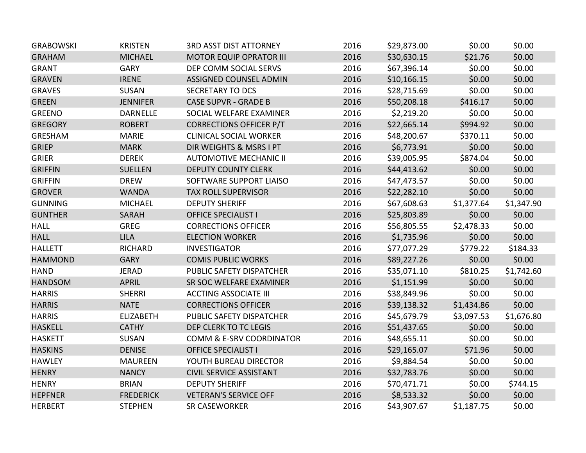| <b>GRABOWSKI</b> | <b>KRISTEN</b>   | <b>3RD ASST DIST ATTORNEY</b>  | 2016 | \$29,873.00 | \$0.00     | \$0.00     |
|------------------|------------------|--------------------------------|------|-------------|------------|------------|
| <b>GRAHAM</b>    | <b>MICHAEL</b>   | <b>MOTOR EQUIP OPRATOR III</b> | 2016 | \$30,630.15 | \$21.76    | \$0.00     |
| <b>GRANT</b>     | <b>GARY</b>      | DEP COMM SOCIAL SERVS          | 2016 | \$67,396.14 | \$0.00     | \$0.00     |
| <b>GRAVEN</b>    | <b>IRENE</b>     | <b>ASSIGNED COUNSEL ADMIN</b>  | 2016 | \$10,166.15 | \$0.00     | \$0.00     |
| <b>GRAVES</b>    | <b>SUSAN</b>     | <b>SECRETARY TO DCS</b>        | 2016 | \$28,715.69 | \$0.00     | \$0.00     |
| <b>GREEN</b>     | <b>JENNIFER</b>  | <b>CASE SUPVR - GRADE B</b>    | 2016 | \$50,208.18 | \$416.17   | \$0.00     |
| <b>GREENO</b>    | <b>DARNELLE</b>  | SOCIAL WELFARE EXAMINER        | 2016 | \$2,219.20  | \$0.00     | \$0.00     |
| <b>GREGORY</b>   | <b>ROBERT</b>    | <b>CORRECTIONS OFFICER P/T</b> | 2016 | \$22,665.14 | \$994.92   | \$0.00     |
| GRESHAM          | <b>MARIE</b>     | <b>CLINICAL SOCIAL WORKER</b>  | 2016 | \$48,200.67 | \$370.11   | \$0.00     |
| <b>GRIEP</b>     | <b>MARK</b>      | DIR WEIGHTS & MSRS I PT        | 2016 | \$6,773.91  | \$0.00     | \$0.00     |
| <b>GRIER</b>     | <b>DEREK</b>     | <b>AUTOMOTIVE MECHANIC II</b>  | 2016 | \$39,005.95 | \$874.04   | \$0.00     |
| <b>GRIFFIN</b>   | <b>SUELLEN</b>   | <b>DEPUTY COUNTY CLERK</b>     | 2016 | \$44,413.62 | \$0.00     | \$0.00     |
| <b>GRIFFIN</b>   | <b>DREW</b>      | SOFTWARE SUPPORT LIAISO        | 2016 | \$47,473.57 | \$0.00     | \$0.00     |
| <b>GROVER</b>    | <b>WANDA</b>     | TAX ROLL SUPERVISOR            | 2016 | \$22,282.10 | \$0.00     | \$0.00     |
| <b>GUNNING</b>   | <b>MICHAEL</b>   | <b>DEPUTY SHERIFF</b>          | 2016 | \$67,608.63 | \$1,377.64 | \$1,347.90 |
| <b>GUNTHER</b>   | SARAH            | <b>OFFICE SPECIALIST I</b>     | 2016 | \$25,803.89 | \$0.00     | \$0.00     |
| <b>HALL</b>      | <b>GREG</b>      | <b>CORRECTIONS OFFICER</b>     | 2016 | \$56,805.55 | \$2,478.33 | \$0.00     |
| <b>HALL</b>      | <b>LILA</b>      | <b>ELECTION WORKER</b>         | 2016 | \$1,735.96  | \$0.00     | \$0.00     |
| <b>HALLETT</b>   | <b>RICHARD</b>   | <b>INVESTIGATOR</b>            | 2016 | \$77,077.29 | \$779.22   | \$184.33   |
| <b>HAMMOND</b>   | <b>GARY</b>      | <b>COMIS PUBLIC WORKS</b>      | 2016 | \$89,227.26 | \$0.00     | \$0.00     |
| <b>HAND</b>      | <b>JERAD</b>     | PUBLIC SAFETY DISPATCHER       | 2016 | \$35,071.10 | \$810.25   | \$1,742.60 |
| <b>HANDSOM</b>   | <b>APRIL</b>     | SR SOC WELFARE EXAMINER        | 2016 | \$1,151.99  | \$0.00     | \$0.00     |
| <b>HARRIS</b>    | <b>SHERRI</b>    | <b>ACCTING ASSOCIATE III</b>   | 2016 | \$38,849.96 | \$0.00     | \$0.00     |
| <b>HARRIS</b>    | <b>NATE</b>      | <b>CORRECTIONS OFFICER</b>     | 2016 | \$39,138.32 | \$1,434.86 | \$0.00     |
| <b>HARRIS</b>    | <b>ELIZABETH</b> | PUBLIC SAFETY DISPATCHER       | 2016 | \$45,679.79 | \$3,097.53 | \$1,676.80 |
| <b>HASKELL</b>   | <b>CATHY</b>     | DEP CLERK TO TC LEGIS          | 2016 | \$51,437.65 | \$0.00     | \$0.00     |
| <b>HASKETT</b>   | <b>SUSAN</b>     | COMM & E-SRV COORDINATOR       | 2016 | \$48,655.11 | \$0.00     | \$0.00     |
| <b>HASKINS</b>   | <b>DENISE</b>    | <b>OFFICE SPECIALIST I</b>     | 2016 | \$29,165.07 | \$71.96    | \$0.00     |
| <b>HAWLEY</b>    | <b>MAUREEN</b>   | YOUTH BUREAU DIRECTOR          | 2016 | \$9,884.54  | \$0.00     | \$0.00     |
| <b>HENRY</b>     | <b>NANCY</b>     | <b>CIVIL SERVICE ASSISTANT</b> | 2016 | \$32,783.76 | \$0.00     | \$0.00     |
| <b>HENRY</b>     | <b>BRIAN</b>     | <b>DEPUTY SHERIFF</b>          | 2016 | \$70,471.71 | \$0.00     | \$744.15   |
| <b>HEPFNER</b>   | <b>FREDERICK</b> | <b>VETERAN'S SERVICE OFF</b>   | 2016 | \$8,533.32  | \$0.00     | \$0.00     |
| <b>HERBERT</b>   | <b>STEPHEN</b>   | <b>SR CASEWORKER</b>           | 2016 | \$43,907.67 | \$1,187.75 | \$0.00     |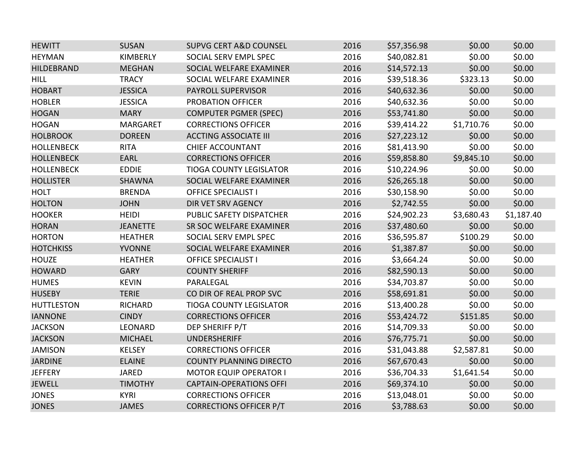| <b>HEWITT</b>     | <b>SUSAN</b>    | <b>SUPVG CERT A&amp;D COUNSEL</b> | 2016 | \$57,356.98 | \$0.00     | \$0.00     |
|-------------------|-----------------|-----------------------------------|------|-------------|------------|------------|
| <b>HEYMAN</b>     | <b>KIMBERLY</b> | SOCIAL SERV EMPL SPEC             | 2016 | \$40,082.81 | \$0.00     | \$0.00     |
| <b>HILDEBRAND</b> | <b>MEGHAN</b>   | SOCIAL WELFARE EXAMINER           | 2016 | \$14,572.13 | \$0.00     | \$0.00     |
| <b>HILL</b>       | <b>TRACY</b>    | SOCIAL WELFARE EXAMINER           | 2016 | \$39,518.36 | \$323.13   | \$0.00     |
| <b>HOBART</b>     | <b>JESSICA</b>  | <b>PAYROLL SUPERVISOR</b>         | 2016 | \$40,632.36 | \$0.00     | \$0.00     |
| <b>HOBLER</b>     | <b>JESSICA</b>  | PROBATION OFFICER                 | 2016 | \$40,632.36 | \$0.00     | \$0.00     |
| <b>HOGAN</b>      | <b>MARY</b>     | <b>COMPUTER PGMER (SPEC)</b>      | 2016 | \$53,741.80 | \$0.00     | \$0.00     |
| <b>HOGAN</b>      | <b>MARGARET</b> | <b>CORRECTIONS OFFICER</b>        | 2016 | \$39,414.22 | \$1,710.76 | \$0.00     |
| <b>HOLBROOK</b>   | <b>DOREEN</b>   | <b>ACCTING ASSOCIATE III</b>      | 2016 | \$27,223.12 | \$0.00     | \$0.00     |
| <b>HOLLENBECK</b> | <b>RITA</b>     | <b>CHIEF ACCOUNTANT</b>           | 2016 | \$81,413.90 | \$0.00     | \$0.00     |
| <b>HOLLENBECK</b> | <b>EARL</b>     | <b>CORRECTIONS OFFICER</b>        | 2016 | \$59,858.80 | \$9,845.10 | \$0.00     |
| <b>HOLLENBECK</b> | <b>EDDIE</b>    | <b>TIOGA COUNTY LEGISLATOR</b>    | 2016 | \$10,224.96 | \$0.00     | \$0.00     |
| <b>HOLLISTER</b>  | SHAWNA          | SOCIAL WELFARE EXAMINER           | 2016 | \$26,265.18 | \$0.00     | \$0.00     |
| <b>HOLT</b>       | <b>BRENDA</b>   | <b>OFFICE SPECIALIST I</b>        | 2016 | \$30,158.90 | \$0.00     | \$0.00     |
| <b>HOLTON</b>     | <b>JOHN</b>     | DIR VET SRV AGENCY                | 2016 | \$2,742.55  | \$0.00     | \$0.00     |
| <b>HOOKER</b>     | <b>HEIDI</b>    | PUBLIC SAFETY DISPATCHER          | 2016 | \$24,902.23 | \$3,680.43 | \$1,187.40 |
| <b>HORAN</b>      | <b>JEANETTE</b> | SR SOC WELFARE EXAMINER           | 2016 | \$37,480.60 | \$0.00     | \$0.00     |
| <b>HORTON</b>     | <b>HEATHER</b>  | SOCIAL SERV EMPL SPEC             | 2016 | \$36,595.87 | \$100.29   | \$0.00     |
| <b>HOTCHKISS</b>  | <b>YVONNE</b>   | SOCIAL WELFARE EXAMINER           | 2016 | \$1,387.87  | \$0.00     | \$0.00     |
| <b>HOUZE</b>      | <b>HEATHER</b>  | <b>OFFICE SPECIALIST I</b>        | 2016 | \$3,664.24  | \$0.00     | \$0.00     |
| <b>HOWARD</b>     | <b>GARY</b>     | <b>COUNTY SHERIFF</b>             | 2016 | \$82,590.13 | \$0.00     | \$0.00     |
| <b>HUMES</b>      | <b>KEVIN</b>    | PARALEGAL                         | 2016 | \$34,703.87 | \$0.00     | \$0.00     |
| <b>HUSEBY</b>     | <b>TERIE</b>    | CO DIR OF REAL PROP SVC           | 2016 | \$58,691.81 | \$0.00     | \$0.00     |
| <b>HUTTLESTON</b> | <b>RICHARD</b>  | <b>TIOGA COUNTY LEGISLATOR</b>    | 2016 | \$13,400.28 | \$0.00     | \$0.00     |
| <b>IANNONE</b>    | <b>CINDY</b>    | <b>CORRECTIONS OFFICER</b>        | 2016 | \$53,424.72 | \$151.85   | \$0.00     |
| <b>JACKSON</b>    | LEONARD         | DEP SHERIFF P/T                   | 2016 | \$14,709.33 | \$0.00     | \$0.00     |
| <b>JACKSON</b>    | <b>MICHAEL</b>  | <b>UNDERSHERIFF</b>               | 2016 | \$76,775.71 | \$0.00     | \$0.00     |
| <b>JAMISON</b>    | <b>KELSEY</b>   | <b>CORRECTIONS OFFICER</b>        | 2016 | \$31,043.88 | \$2,587.81 | \$0.00     |
| <b>JARDINE</b>    | <b>ELAINE</b>   | <b>COUNTY PLANNING DIRECTO</b>    | 2016 | \$67,670.43 | \$0.00     | \$0.00     |
| <b>JEFFERY</b>    | <b>JARED</b>    | <b>MOTOR EQUIP OPERATOR I</b>     | 2016 | \$36,704.33 | \$1,641.54 | \$0.00     |
| <b>JEWELL</b>     | <b>TIMOTHY</b>  | <b>CAPTAIN-OPERATIONS OFFI</b>    | 2016 | \$69,374.10 | \$0.00     | \$0.00     |
| <b>JONES</b>      | <b>KYRI</b>     | <b>CORRECTIONS OFFICER</b>        | 2016 | \$13,048.01 | \$0.00     | \$0.00     |
| <b>JONES</b>      | <b>JAMES</b>    | <b>CORRECTIONS OFFICER P/T</b>    | 2016 | \$3,788.63  | \$0.00     | \$0.00     |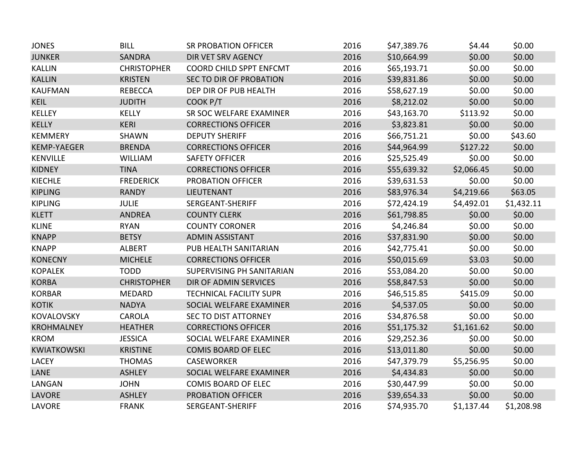| <b>JONES</b>       | <b>BILL</b>        | <b>SR PROBATION OFFICER</b>    | 2016 | \$47,389.76 | \$4.44     | \$0.00     |
|--------------------|--------------------|--------------------------------|------|-------------|------------|------------|
| <b>JUNKER</b>      | <b>SANDRA</b>      | DIR VET SRV AGENCY             | 2016 | \$10,664.99 | \$0.00     | \$0.00     |
| <b>KALLIN</b>      | <b>CHRISTOPHER</b> | COORD CHILD SPPT ENFCMT        | 2016 | \$65,193.71 | \$0.00     | \$0.00     |
| <b>KALLIN</b>      | <b>KRISTEN</b>     | SEC TO DIR OF PROBATION        | 2016 | \$39,831.86 | \$0.00     | \$0.00     |
| <b>KAUFMAN</b>     | <b>REBECCA</b>     | DEP DIR OF PUB HEALTH          | 2016 | \$58,627.19 | \$0.00     | \$0.00     |
| <b>KEIL</b>        | <b>JUDITH</b>      | COOK P/T                       | 2016 | \$8,212.02  | \$0.00     | \$0.00     |
| <b>KELLEY</b>      | <b>KELLY</b>       | SR SOC WELFARE EXAMINER        | 2016 | \$43,163.70 | \$113.92   | \$0.00     |
| <b>KELLY</b>       | <b>KERI</b>        | <b>CORRECTIONS OFFICER</b>     | 2016 | \$3,823.81  | \$0.00     | \$0.00     |
| <b>KEMMERY</b>     | SHAWN              | <b>DEPUTY SHERIFF</b>          | 2016 | \$66,751.21 | \$0.00     | \$43.60    |
| <b>KEMP-YAEGER</b> | <b>BRENDA</b>      | <b>CORRECTIONS OFFICER</b>     | 2016 | \$44,964.99 | \$127.22   | \$0.00     |
| KENVILLE           | <b>WILLIAM</b>     | <b>SAFETY OFFICER</b>          | 2016 | \$25,525.49 | \$0.00     | \$0.00     |
| <b>KIDNEY</b>      | <b>TINA</b>        | <b>CORRECTIONS OFFICER</b>     | 2016 | \$55,639.32 | \$2,066.45 | \$0.00     |
| <b>KIECHLE</b>     | <b>FREDERICK</b>   | <b>PROBATION OFFICER</b>       | 2016 | \$39,631.53 | \$0.00     | \$0.00     |
| <b>KIPLING</b>     | <b>RANDY</b>       | LIEUTENANT                     | 2016 | \$83,976.34 | \$4,219.66 | \$63.05    |
| <b>KIPLING</b>     | <b>JULIE</b>       | SERGEANT-SHERIFF               | 2016 | \$72,424.19 | \$4,492.01 | \$1,432.11 |
| <b>KLETT</b>       | <b>ANDREA</b>      | <b>COUNTY CLERK</b>            | 2016 | \$61,798.85 | \$0.00     | \$0.00     |
| <b>KLINE</b>       | <b>RYAN</b>        | <b>COUNTY CORONER</b>          | 2016 | \$4,246.84  | \$0.00     | \$0.00     |
| <b>KNAPP</b>       | <b>BETSY</b>       | <b>ADMIN ASSISTANT</b>         | 2016 | \$37,831.90 | \$0.00     | \$0.00     |
| <b>KNAPP</b>       | <b>ALBERT</b>      | PUB HEALTH SANITARIAN          | 2016 | \$42,775.41 | \$0.00     | \$0.00     |
| <b>KONECNY</b>     | <b>MICHELE</b>     | <b>CORRECTIONS OFFICER</b>     | 2016 | \$50,015.69 | \$3.03     | \$0.00     |
| <b>KOPALEK</b>     | <b>TODD</b>        | SUPERVISING PH SANITARIAN      | 2016 | \$53,084.20 | \$0.00     | \$0.00     |
| <b>KORBA</b>       | <b>CHRISTOPHER</b> | DIR OF ADMIN SERVICES          | 2016 | \$58,847.53 | \$0.00     | \$0.00     |
| <b>KORBAR</b>      | <b>MEDARD</b>      | <b>TECHNICAL FACILITY SUPR</b> | 2016 | \$46,515.85 | \$415.09   | \$0.00     |
| <b>KOTIK</b>       | <b>NADYA</b>       | SOCIAL WELFARE EXAMINER        | 2016 | \$4,537.05  | \$0.00     | \$0.00     |
| KOVALOVSKY         | <b>CAROLA</b>      | SEC TO DIST ATTORNEY           | 2016 | \$34,876.58 | \$0.00     | \$0.00     |
| <b>KROHMALNEY</b>  | <b>HEATHER</b>     | <b>CORRECTIONS OFFICER</b>     | 2016 | \$51,175.32 | \$1,161.62 | \$0.00     |
| <b>KROM</b>        | <b>JESSICA</b>     | SOCIAL WELFARE EXAMINER        | 2016 | \$29,252.36 | \$0.00     | \$0.00     |
| <b>KWIATKOWSKI</b> | <b>KRISTINE</b>    | <b>COMIS BOARD OF ELEC</b>     | 2016 | \$13,011.80 | \$0.00     | \$0.00     |
| <b>LACEY</b>       | <b>THOMAS</b>      | <b>CASEWORKER</b>              | 2016 | \$47,379.79 | \$5,256.95 | \$0.00     |
| LANE               | <b>ASHLEY</b>      | SOCIAL WELFARE EXAMINER        | 2016 | \$4,434.83  | \$0.00     | \$0.00     |
| LANGAN             | <b>JOHN</b>        | <b>COMIS BOARD OF ELEC</b>     | 2016 | \$30,447.99 | \$0.00     | \$0.00     |
| <b>LAVORE</b>      | <b>ASHLEY</b>      | PROBATION OFFICER              | 2016 | \$39,654.33 | \$0.00     | \$0.00     |
| LAVORE             | <b>FRANK</b>       | SERGEANT-SHERIFF               | 2016 | \$74,935.70 | \$1,137.44 | \$1,208.98 |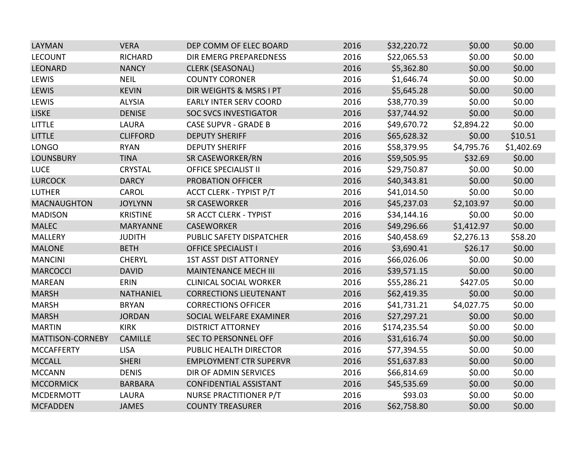| LAYMAN                  | <b>VERA</b>      | DEP COMM OF ELEC BOARD         | 2016 | \$32,220.72  | \$0.00     | \$0.00     |
|-------------------------|------------------|--------------------------------|------|--------------|------------|------------|
| <b>LECOUNT</b>          | <b>RICHARD</b>   | <b>DIR EMERG PREPAREDNESS</b>  | 2016 | \$22,065.53  | \$0.00     | \$0.00     |
| <b>LEONARD</b>          | <b>NANCY</b>     | <b>CLERK (SEASONAL)</b>        | 2016 | \$5,362.80   | \$0.00     | \$0.00     |
| LEWIS                   | <b>NEIL</b>      | <b>COUNTY CORONER</b>          | 2016 | \$1,646.74   | \$0.00     | \$0.00     |
| <b>LEWIS</b>            | <b>KEVIN</b>     | DIR WEIGHTS & MSRS I PT        | 2016 | \$5,645.28   | \$0.00     | \$0.00     |
| LEWIS                   | <b>ALYSIA</b>    | <b>EARLY INTER SERV COORD</b>  | 2016 | \$38,770.39  | \$0.00     | \$0.00     |
| <b>LISKE</b>            | <b>DENISE</b>    | <b>SOC SVCS INVESTIGATOR</b>   | 2016 | \$37,744.92  | \$0.00     | \$0.00     |
| <b>LITTLE</b>           | <b>LAURA</b>     | <b>CASE SUPVR - GRADE B</b>    | 2016 | \$49,670.72  | \$2,894.22 | \$0.00     |
| <b>LITTLE</b>           | <b>CLIFFORD</b>  | <b>DEPUTY SHERIFF</b>          | 2016 | \$65,628.32  | \$0.00     | \$10.51    |
| <b>LONGO</b>            | <b>RYAN</b>      | <b>DEPUTY SHERIFF</b>          | 2016 | \$58,379.95  | \$4,795.76 | \$1,402.69 |
| <b>LOUNSBURY</b>        | <b>TINA</b>      | SR CASEWORKER/RN               | 2016 | \$59,505.95  | \$32.69    | \$0.00     |
| <b>LUCE</b>             | <b>CRYSTAL</b>   | <b>OFFICE SPECIALIST II</b>    | 2016 | \$29,750.87  | \$0.00     | \$0.00     |
| <b>LURCOCK</b>          | <b>DARCY</b>     | PROBATION OFFICER              | 2016 | \$40,343.81  | \$0.00     | \$0.00     |
| <b>LUTHER</b>           | <b>CAROL</b>     | <b>ACCT CLERK - TYPIST P/T</b> | 2016 | \$41,014.50  | \$0.00     | \$0.00     |
| <b>MACNAUGHTON</b>      | <b>JOYLYNN</b>   | <b>SR CASEWORKER</b>           | 2016 | \$45,237.03  | \$2,103.97 | \$0.00     |
| <b>MADISON</b>          | <b>KRISTINE</b>  | <b>SR ACCT CLERK - TYPIST</b>  | 2016 | \$34,144.16  | \$0.00     | \$0.00     |
| <b>MALEC</b>            | <b>MARYANNE</b>  | <b>CASEWORKER</b>              | 2016 | \$49,296.66  | \$1,412.97 | \$0.00     |
| <b>MALLERY</b>          | <b>JUDITH</b>    | PUBLIC SAFETY DISPATCHER       | 2016 | \$40,458.69  | \$2,276.13 | \$58.20    |
| <b>MALONE</b>           | <b>BETH</b>      | <b>OFFICE SPECIALIST I</b>     | 2016 | \$3,690.41   | \$26.17    | \$0.00     |
| <b>MANCINI</b>          | <b>CHERYL</b>    | <b>1ST ASST DIST ATTORNEY</b>  | 2016 | \$66,026.06  | \$0.00     | \$0.00     |
| <b>MARCOCCI</b>         | <b>DAVID</b>     | <b>MAINTENANCE MECH III</b>    | 2016 | \$39,571.15  | \$0.00     | \$0.00     |
| <b>MAREAN</b>           | ERIN             | <b>CLINICAL SOCIAL WORKER</b>  | 2016 | \$55,286.21  | \$427.05   | \$0.00     |
| <b>MARSH</b>            | <b>NATHANIEL</b> | <b>CORRECTIONS LIEUTENANT</b>  | 2016 | \$62,419.35  | \$0.00     | \$0.00     |
| <b>MARSH</b>            | <b>BRYAN</b>     | <b>CORRECTIONS OFFICER</b>     | 2016 | \$41,731.21  | \$4,027.75 | \$0.00     |
| <b>MARSH</b>            | <b>JORDAN</b>    | SOCIAL WELFARE EXAMINER        | 2016 | \$27,297.21  | \$0.00     | \$0.00     |
| <b>MARTIN</b>           | <b>KIRK</b>      | <b>DISTRICT ATTORNEY</b>       | 2016 | \$174,235.54 | \$0.00     | \$0.00     |
| <b>MATTISON-CORNEBY</b> | <b>CAMILLE</b>   | <b>SEC TO PERSONNEL OFF</b>    | 2016 | \$31,616.74  | \$0.00     | \$0.00     |
| <b>MCCAFFERTY</b>       | <b>LISA</b>      | PUBLIC HEALTH DIRECTOR         | 2016 | \$77,394.55  | \$0.00     | \$0.00     |
| <b>MCCALL</b>           | <b>SHERI</b>     | <b>EMPLOYMENT CTR SUPERVR</b>  | 2016 | \$51,637.83  | \$0.00     | \$0.00     |
| <b>MCCANN</b>           | <b>DENIS</b>     | DIR OF ADMIN SERVICES          | 2016 | \$66,814.69  | \$0.00     | \$0.00     |
| <b>MCCORMICK</b>        | <b>BARBARA</b>   | <b>CONFIDENTIAL ASSISTANT</b>  | 2016 | \$45,535.69  | \$0.00     | \$0.00     |
| <b>MCDERMOTT</b>        | <b>LAURA</b>     | NURSE PRACTITIONER P/T         | 2016 | \$93.03      | \$0.00     | \$0.00     |
| <b>MCFADDEN</b>         | <b>JAMES</b>     | <b>COUNTY TREASURER</b>        | 2016 | \$62,758.80  | \$0.00     | \$0.00     |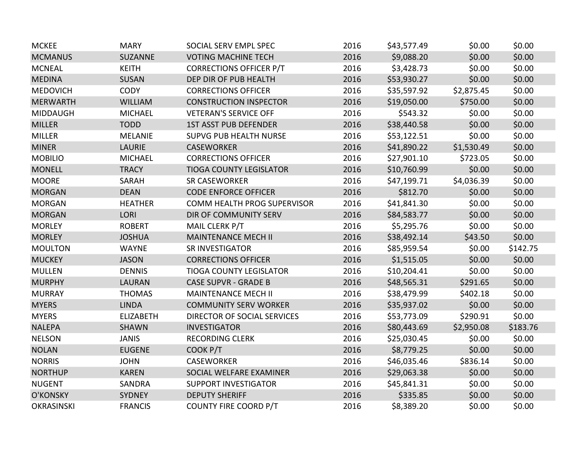| <b>MCKEE</b>      | <b>MARY</b>      | SOCIAL SERV EMPL SPEC          | 2016 | \$43,577.49 | \$0.00     | \$0.00   |
|-------------------|------------------|--------------------------------|------|-------------|------------|----------|
| <b>MCMANUS</b>    | <b>SUZANNE</b>   | <b>VOTING MACHINE TECH</b>     | 2016 | \$9,088.20  | \$0.00     | \$0.00   |
| <b>MCNEAL</b>     | <b>KEITH</b>     | <b>CORRECTIONS OFFICER P/T</b> | 2016 | \$3,428.73  | \$0.00     | \$0.00   |
| <b>MEDINA</b>     | <b>SUSAN</b>     | DEP DIR OF PUB HEALTH          | 2016 | \$53,930.27 | \$0.00     | \$0.00   |
| <b>MEDOVICH</b>   | <b>CODY</b>      | <b>CORRECTIONS OFFICER</b>     | 2016 | \$35,597.92 | \$2,875.45 | \$0.00   |
| <b>MERWARTH</b>   | <b>WILLIAM</b>   | <b>CONSTRUCTION INSPECTOR</b>  | 2016 | \$19,050.00 | \$750.00   | \$0.00   |
| <b>MIDDAUGH</b>   | <b>MICHAEL</b>   | <b>VETERAN'S SERVICE OFF</b>   | 2016 | \$543.32    | \$0.00     | \$0.00   |
| <b>MILLER</b>     | <b>TODD</b>      | <b>1ST ASST PUB DEFENDER</b>   | 2016 | \$38,440.58 | \$0.00     | \$0.00   |
| <b>MILLER</b>     | <b>MELANIE</b>   | <b>SUPVG PUB HEALTH NURSE</b>  | 2016 | \$53,122.51 | \$0.00     | \$0.00   |
| <b>MINER</b>      | <b>LAURIE</b>    | <b>CASEWORKER</b>              | 2016 | \$41,890.22 | \$1,530.49 | \$0.00   |
| <b>MOBILIO</b>    | <b>MICHAEL</b>   | <b>CORRECTIONS OFFICER</b>     | 2016 | \$27,901.10 | \$723.05   | \$0.00   |
| <b>MONELL</b>     | <b>TRACY</b>     | <b>TIOGA COUNTY LEGISLATOR</b> | 2016 | \$10,760.99 | \$0.00     | \$0.00   |
| <b>MOORE</b>      | SARAH            | <b>SR CASEWORKER</b>           | 2016 | \$47,199.71 | \$4,036.39 | \$0.00   |
| <b>MORGAN</b>     | <b>DEAN</b>      | <b>CODE ENFORCE OFFICER</b>    | 2016 | \$812.70    | \$0.00     | \$0.00   |
| <b>MORGAN</b>     | <b>HEATHER</b>   | COMM HEALTH PROG SUPERVISOR    | 2016 | \$41,841.30 | \$0.00     | \$0.00   |
| <b>MORGAN</b>     | <b>LORI</b>      | DIR OF COMMUNITY SERV          | 2016 | \$84,583.77 | \$0.00     | \$0.00   |
| <b>MORLEY</b>     | <b>ROBERT</b>    | MAIL CLERK P/T                 | 2016 | \$5,295.76  | \$0.00     | \$0.00   |
| <b>MORLEY</b>     | <b>JOSHUA</b>    | <b>MAINTENANCE MECH II</b>     | 2016 | \$38,492.14 | \$43.50    | \$0.00   |
| <b>MOULTON</b>    | <b>WAYNE</b>     | SR INVESTIGATOR                | 2016 | \$85,959.54 | \$0.00     | \$142.75 |
| <b>MUCKEY</b>     | <b>JASON</b>     | <b>CORRECTIONS OFFICER</b>     | 2016 | \$1,515.05  | \$0.00     | \$0.00   |
| <b>MULLEN</b>     | <b>DENNIS</b>    | <b>TIOGA COUNTY LEGISLATOR</b> | 2016 | \$10,204.41 | \$0.00     | \$0.00   |
| <b>MURPHY</b>     | <b>LAURAN</b>    | <b>CASE SUPVR - GRADE B</b>    | 2016 | \$48,565.31 | \$291.65   | \$0.00   |
| <b>MURRAY</b>     | <b>THOMAS</b>    | <b>MAINTENANCE MECH II</b>     | 2016 | \$38,479.99 | \$402.18   | \$0.00   |
| <b>MYERS</b>      | <b>LINDA</b>     | <b>COMMUNITY SERV WORKER</b>   | 2016 | \$35,937.02 | \$0.00     | \$0.00   |
| <b>MYERS</b>      | <b>ELIZABETH</b> | DIRECTOR OF SOCIAL SERVICES    | 2016 | \$53,773.09 | \$290.91   | \$0.00   |
| <b>NALEPA</b>     | <b>SHAWN</b>     | <b>INVESTIGATOR</b>            | 2016 | \$80,443.69 | \$2,950.08 | \$183.76 |
| <b>NELSON</b>     | <b>JANIS</b>     | <b>RECORDING CLERK</b>         | 2016 | \$25,030.45 | \$0.00     | \$0.00   |
| <b>NOLAN</b>      | <b>EUGENE</b>    | COOK P/T                       | 2016 | \$8,779.25  | \$0.00     | \$0.00   |
| <b>NORRIS</b>     | <b>JOHN</b>      | <b>CASEWORKER</b>              | 2016 | \$46,035.46 | \$836.14   | \$0.00   |
| <b>NORTHUP</b>    | <b>KAREN</b>     | SOCIAL WELFARE EXAMINER        | 2016 | \$29,063.38 | \$0.00     | \$0.00   |
| <b>NUGENT</b>     | SANDRA           | <b>SUPPORT INVESTIGATOR</b>    | 2016 | \$45,841.31 | \$0.00     | \$0.00   |
| O'KONSKY          | <b>SYDNEY</b>    | <b>DEPUTY SHERIFF</b>          | 2016 | \$335.85    | \$0.00     | \$0.00   |
| <b>OKRASINSKI</b> | <b>FRANCIS</b>   | <b>COUNTY FIRE COORD P/T</b>   | 2016 | \$8,389.20  | \$0.00     | \$0.00   |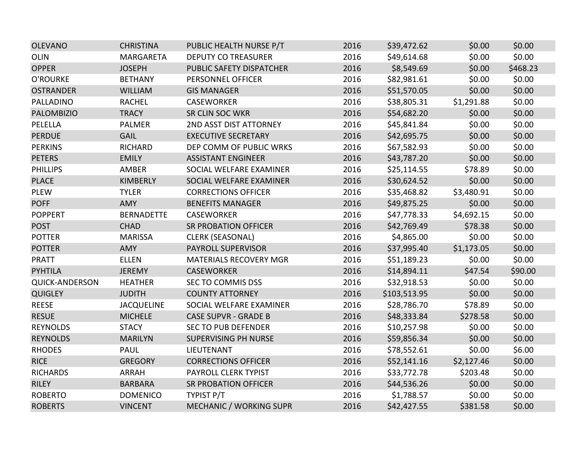| <b>OLEVANO</b>        | <b>CHRISTINA</b>  | PUBLIC HEALTH NURSE P/T        | 2016 | \$39,472.62  | \$0.00     | \$0.00   |
|-----------------------|-------------------|--------------------------------|------|--------------|------------|----------|
| <b>OLIN</b>           | MARGARETA         | <b>DEPUTY CO TREASURER</b>     | 2016 | \$49,614.68  | \$0.00     | \$0.00   |
| <b>OPPER</b>          | <b>JOSEPH</b>     | PUBLIC SAFETY DISPATCHER       | 2016 | \$8,549.69   | \$0.00     | \$468.23 |
| O'ROURKE              | <b>BETHANY</b>    | PERSONNEL OFFICER              | 2016 | \$82,981.61  | \$0.00     | \$0.00   |
| <b>OSTRANDER</b>      | <b>WILLIAM</b>    | <b>GIS MANAGER</b>             | 2016 | \$51,570.05  | \$0.00     | \$0.00   |
| PALLADINO             | <b>RACHEL</b>     | <b>CASEWORKER</b>              | 2016 | \$38,805.31  | \$1,291.88 | \$0.00   |
| <b>PALOMBIZIO</b>     | <b>TRACY</b>      | <b>SR CLIN SOC WKR</b>         | 2016 | \$54,682.20  | \$0.00     | \$0.00   |
| PELELLA               | <b>PALMER</b>     | 2ND ASST DIST ATTORNEY         | 2016 | \$45,841.84  | \$0.00     | \$0.00   |
| <b>PERDUE</b>         | <b>GAIL</b>       | <b>EXECUTIVE SECRETARY</b>     | 2016 | \$42,695.75  | \$0.00     | \$0.00   |
| <b>PERKINS</b>        | RICHARD           | DEP COMM OF PUBLIC WRKS        | 2016 | \$67,582.93  | \$0.00     | \$0.00   |
| <b>PETERS</b>         | <b>EMILY</b>      | <b>ASSISTANT ENGINEER</b>      | 2016 | \$43,787.20  | \$0.00     | \$0.00   |
| <b>PHILLIPS</b>       | AMBER             | SOCIAL WELFARE EXAMINER        | 2016 | \$25,114.55  | \$78.89    | \$0.00   |
| <b>PLACE</b>          | <b>KIMBERLY</b>   | SOCIAL WELFARE EXAMINER        | 2016 | \$30,624.52  | \$0.00     | \$0.00   |
| <b>PLEW</b>           | <b>TYLER</b>      | <b>CORRECTIONS OFFICER</b>     | 2016 | \$35,468.82  | \$3,480.91 | \$0.00   |
| <b>POFF</b>           | <b>AMY</b>        | <b>BENEFITS MANAGER</b>        | 2016 | \$49,875.25  | \$0.00     | \$0.00   |
| <b>POPPERT</b>        | <b>BERNADETTE</b> | <b>CASEWORKER</b>              | 2016 | \$47,778.33  | \$4,692.15 | \$0.00   |
| <b>POST</b>           | <b>CHAD</b>       | <b>SR PROBATION OFFICER</b>    | 2016 | \$42,769.49  | \$78.38    | \$0.00   |
| <b>POTTER</b>         | <b>MARISSA</b>    | <b>CLERK (SEASONAL)</b>        | 2016 | \$4,865.00   | \$0.00     | \$0.00   |
| <b>POTTER</b>         | AMY               | PAYROLL SUPERVISOR             | 2016 | \$37,995.40  | \$1,173.05 | \$0.00   |
| <b>PRATT</b>          | <b>ELLEN</b>      | <b>MATERIALS RECOVERY MGR</b>  | 2016 | \$51,189.23  | \$0.00     | \$0.00   |
| <b>PYHTILA</b>        | <b>JEREMY</b>     | <b>CASEWORKER</b>              | 2016 | \$14,894.11  | \$47.54    | \$90.00  |
| <b>QUICK-ANDERSON</b> | <b>HEATHER</b>    | SEC TO COMMIS DSS              | 2016 | \$32,918.53  | \$0.00     | \$0.00   |
| <b>QUIGLEY</b>        | <b>JUDITH</b>     | <b>COUNTY ATTORNEY</b>         | 2016 | \$103,513.95 | \$0.00     | \$0.00   |
| <b>REESE</b>          | <b>JACQUELINE</b> | SOCIAL WELFARE EXAMINER        | 2016 | \$28,786.70  | \$78.89    | \$0.00   |
| <b>RESUE</b>          | <b>MICHELE</b>    | <b>CASE SUPVR - GRADE B</b>    | 2016 | \$48,333.84  | \$278.58   | \$0.00   |
| <b>REYNOLDS</b>       | <b>STACY</b>      | <b>SEC TO PUB DEFENDER</b>     | 2016 | \$10,257.98  | \$0.00     | \$0.00   |
| <b>REYNOLDS</b>       | <b>MARILYN</b>    | <b>SUPERVISING PH NURSE</b>    | 2016 | \$59,856.34  | \$0.00     | \$0.00   |
| <b>RHODES</b>         | PAUL              | LIEUTENANT                     | 2016 | \$78,552.61  | \$0.00     | \$6.00   |
| <b>RICE</b>           | <b>GREGORY</b>    | <b>CORRECTIONS OFFICER</b>     | 2016 | \$52,141.16  | \$2,127.46 | \$0.00   |
| <b>RICHARDS</b>       | <b>ARRAH</b>      | PAYROLL CLERK TYPIST           | 2016 | \$33,772.78  | \$203.48   | \$0.00   |
| <b>RILEY</b>          | <b>BARBARA</b>    | <b>SR PROBATION OFFICER</b>    | 2016 | \$44,536.26  | \$0.00     | \$0.00   |
| <b>ROBERTO</b>        | <b>DOMENICO</b>   | TYPIST P/T                     | 2016 | \$1,788.57   | \$0.00     | \$0.00   |
| <b>ROBERTS</b>        | <b>VINCENT</b>    | <b>MECHANIC / WORKING SUPR</b> | 2016 | \$42,427.55  | \$381.58   | \$0.00   |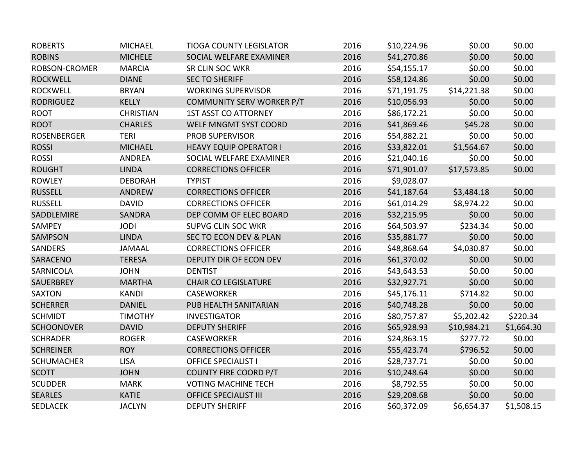| <b>ROBERTS</b>     | <b>MICHAEL</b>   | <b>TIOGA COUNTY LEGISLATOR</b> | 2016 | \$10,224.96 | \$0.00      | \$0.00     |
|--------------------|------------------|--------------------------------|------|-------------|-------------|------------|
| <b>ROBINS</b>      | <b>MICHELE</b>   | SOCIAL WELFARE EXAMINER        | 2016 | \$41,270.86 | \$0.00      | \$0.00     |
| ROBSON-CROMER      | <b>MARCIA</b>    | <b>SR CLIN SOC WKR</b>         | 2016 | \$54,155.17 | \$0.00      | \$0.00     |
| <b>ROCKWELL</b>    | <b>DIANE</b>     | <b>SEC TO SHERIFF</b>          | 2016 | \$58,124.86 | \$0.00      | \$0.00     |
| <b>ROCKWELL</b>    | <b>BRYAN</b>     | <b>WORKING SUPERVISOR</b>      | 2016 | \$71,191.75 | \$14,221.38 | \$0.00     |
| <b>RODRIGUEZ</b>   | <b>KELLY</b>     | COMMUNITY SERV WORKER P/T      | 2016 | \$10,056.93 | \$0.00      | \$0.00     |
| <b>ROOT</b>        | <b>CHRISTIAN</b> | <b>1ST ASST CO ATTORNEY</b>    | 2016 | \$86,172.21 | \$0.00      | \$0.00     |
| <b>ROOT</b>        | <b>CHARLES</b>   | WELF MNGMT SYST COORD          | 2016 | \$41,869.46 | \$45.28     | \$0.00     |
| <b>ROSENBERGER</b> | <b>TERI</b>      | <b>PROB SUPERVISOR</b>         | 2016 | \$54,882.21 | \$0.00      | \$0.00     |
| <b>ROSSI</b>       | <b>MICHAEL</b>   | <b>HEAVY EQUIP OPERATOR I</b>  | 2016 | \$33,822.01 | \$1,564.67  | \$0.00     |
| <b>ROSSI</b>       | <b>ANDREA</b>    | SOCIAL WELFARE EXAMINER        | 2016 | \$21,040.16 | \$0.00      | \$0.00     |
| <b>ROUGHT</b>      | <b>LINDA</b>     | <b>CORRECTIONS OFFICER</b>     | 2016 | \$71,901.07 | \$17,573.85 | \$0.00     |
| <b>ROWLEY</b>      | <b>DEBORAH</b>   | <b>TYPIST</b>                  | 2016 | \$9,028.07  |             |            |
| <b>RUSSELL</b>     | <b>ANDREW</b>    | <b>CORRECTIONS OFFICER</b>     | 2016 | \$41,187.64 | \$3,484.18  | \$0.00     |
| <b>RUSSELL</b>     | <b>DAVID</b>     | <b>CORRECTIONS OFFICER</b>     | 2016 | \$61,014.29 | \$8,974.22  | \$0.00     |
| SADDLEMIRE         | <b>SANDRA</b>    | DEP COMM OF ELEC BOARD         | 2016 | \$32,215.95 | \$0.00      | \$0.00     |
| SAMPEY             | <b>JODI</b>      | <b>SUPVG CLIN SOC WKR</b>      | 2016 | \$64,503.97 | \$234.34    | \$0.00     |
| <b>SAMPSON</b>     | <b>LINDA</b>     | SEC TO ECON DEV & PLAN         | 2016 | \$35,881.77 | \$0.00      | \$0.00     |
| SANDERS            | <b>JAMAAL</b>    | <b>CORRECTIONS OFFICER</b>     | 2016 | \$48,868.64 | \$4,030.87  | \$0.00     |
| <b>SARACENO</b>    | <b>TERESA</b>    | DEPUTY DIR OF ECON DEV         | 2016 | \$61,370.02 | \$0.00      | \$0.00     |
| SARNICOLA          | <b>JOHN</b>      | <b>DENTIST</b>                 | 2016 | \$43,643.53 | \$0.00      | \$0.00     |
| SAUERBREY          | <b>MARTHA</b>    | <b>CHAIR CO LEGISLATURE</b>    | 2016 | \$32,927.71 | \$0.00      | \$0.00     |
| <b>SAXTON</b>      | <b>KANDI</b>     | <b>CASEWORKER</b>              | 2016 | \$45,176.11 | \$714.82    | \$0.00     |
| <b>SCHERRER</b>    | <b>DANIEL</b>    | PUB HEALTH SANITARIAN          | 2016 | \$40,748.28 | \$0.00      | \$0.00     |
| <b>SCHMIDT</b>     | <b>TIMOTHY</b>   | <b>INVESTIGATOR</b>            | 2016 | \$80,757.87 | \$5,202.42  | \$220.34   |
| <b>SCHOONOVER</b>  | <b>DAVID</b>     | <b>DEPUTY SHERIFF</b>          | 2016 | \$65,928.93 | \$10,984.21 | \$1,664.30 |
| <b>SCHRADER</b>    | <b>ROGER</b>     | <b>CASEWORKER</b>              | 2016 | \$24,863.15 | \$277.72    | \$0.00     |
| <b>SCHREINER</b>   | <b>ROY</b>       | <b>CORRECTIONS OFFICER</b>     | 2016 | \$55,423.74 | \$796.52    | \$0.00     |
| <b>SCHUMACHER</b>  | <b>LISA</b>      | <b>OFFICE SPECIALIST I</b>     | 2016 | \$28,737.71 | \$0.00      | \$0.00     |
| <b>SCOTT</b>       | <b>JOHN</b>      | COUNTY FIRE COORD P/T          | 2016 | \$10,248.64 | \$0.00      | \$0.00     |
| <b>SCUDDER</b>     | <b>MARK</b>      | <b>VOTING MACHINE TECH</b>     | 2016 | \$8,792.55  | \$0.00      | \$0.00     |
| <b>SEARLES</b>     | <b>KATIE</b>     | <b>OFFICE SPECIALIST III</b>   | 2016 | \$29,208.68 | \$0.00      | \$0.00     |
| <b>SEDLACEK</b>    | <b>JACLYN</b>    | <b>DEPUTY SHERIFF</b>          | 2016 | \$60,372.09 | \$6,654.37  | \$1,508.15 |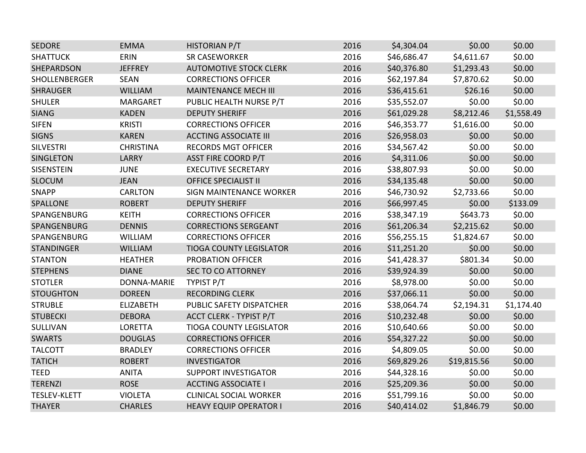| <b>SEDORE</b>       | <b>EMMA</b>      | HISTORIAN P/T                  | 2016 | \$4,304.04  | \$0.00      | \$0.00     |
|---------------------|------------------|--------------------------------|------|-------------|-------------|------------|
| <b>SHATTUCK</b>     | <b>ERIN</b>      | <b>SR CASEWORKER</b>           | 2016 | \$46,686.47 | \$4,611.67  | \$0.00     |
| SHEPARDSON          | <b>JEFFREY</b>   | <b>AUTOMOTIVE STOCK CLERK</b>  | 2016 | \$40,376.80 | \$1,293.43  | \$0.00     |
| SHOLLENBERGER       | <b>SEAN</b>      | <b>CORRECTIONS OFFICER</b>     | 2016 | \$62,197.84 | \$7,870.62  | \$0.00     |
| <b>SHRAUGER</b>     | <b>WILLIAM</b>   | <b>MAINTENANCE MECH III</b>    | 2016 | \$36,415.61 | \$26.16     | \$0.00     |
| <b>SHULER</b>       | <b>MARGARET</b>  | PUBLIC HEALTH NURSE P/T        | 2016 | \$35,552.07 | \$0.00      | \$0.00     |
| <b>SIANG</b>        | <b>KADEN</b>     | <b>DEPUTY SHERIFF</b>          | 2016 | \$61,029.28 | \$8,212.46  | \$1,558.49 |
| <b>SIFEN</b>        | <b>KRISTI</b>    | <b>CORRECTIONS OFFICER</b>     | 2016 | \$46,353.77 | \$1,616.00  | \$0.00     |
| <b>SIGNS</b>        | <b>KAREN</b>     | <b>ACCTING ASSOCIATE III</b>   | 2016 | \$26,958.03 | \$0.00      | \$0.00     |
| <b>SILVESTRI</b>    | <b>CHRISTINA</b> | <b>RECORDS MGT OFFICER</b>     | 2016 | \$34,567.42 | \$0.00      | \$0.00     |
| <b>SINGLETON</b>    | LARRY            | <b>ASST FIRE COORD P/T</b>     | 2016 | \$4,311.06  | \$0.00      | \$0.00     |
| SISENSTEIN          | <b>JUNE</b>      | <b>EXECUTIVE SECRETARY</b>     | 2016 | \$38,807.93 | \$0.00      | \$0.00     |
| <b>SLOCUM</b>       | <b>JEAN</b>      | <b>OFFICE SPECIALIST II</b>    | 2016 | \$34,135.48 | \$0.00      | \$0.00     |
| <b>SNAPP</b>        | <b>CARLTON</b>   | <b>SIGN MAINTENANCE WORKER</b> | 2016 | \$46,730.92 | \$2,733.66  | \$0.00     |
| <b>SPALLONE</b>     | <b>ROBERT</b>    | <b>DEPUTY SHERIFF</b>          | 2016 | \$66,997.45 | \$0.00      | \$133.09   |
| SPANGENBURG         | <b>KEITH</b>     | <b>CORRECTIONS OFFICER</b>     | 2016 | \$38,347.19 | \$643.73    | \$0.00     |
| SPANGENBURG         | <b>DENNIS</b>    | <b>CORRECTIONS SERGEANT</b>    | 2016 | \$61,206.34 | \$2,215.62  | \$0.00     |
| SPANGENBURG         | <b>WILLIAM</b>   | <b>CORRECTIONS OFFICER</b>     | 2016 | \$56,255.15 | \$1,824.67  | \$0.00     |
| <b>STANDINGER</b>   | <b>WILLIAM</b>   | <b>TIOGA COUNTY LEGISLATOR</b> | 2016 | \$11,251.20 | \$0.00      | \$0.00     |
| <b>STANTON</b>      | <b>HEATHER</b>   | <b>PROBATION OFFICER</b>       | 2016 | \$41,428.37 | \$801.34    | \$0.00     |
| <b>STEPHENS</b>     | <b>DIANE</b>     | <b>SEC TO CO ATTORNEY</b>      | 2016 | \$39,924.39 | \$0.00      | \$0.00     |
| <b>STOTLER</b>      | DONNA-MARIE      | TYPIST P/T                     | 2016 | \$8,978.00  | \$0.00      | \$0.00     |
| <b>STOUGHTON</b>    | <b>DOREEN</b>    | <b>RECORDING CLERK</b>         | 2016 | \$37,066.11 | \$0.00      | \$0.00     |
| <b>STRUBLE</b>      | <b>ELIZABETH</b> | PUBLIC SAFETY DISPATCHER       | 2016 | \$38,064.74 | \$2,194.31  | \$1,174.40 |
| <b>STUBECKI</b>     | <b>DEBORA</b>    | <b>ACCT CLERK - TYPIST P/T</b> | 2016 | \$10,232.48 | \$0.00      | \$0.00     |
| SULLIVAN            | <b>LORETTA</b>   | <b>TIOGA COUNTY LEGISLATOR</b> | 2016 | \$10,640.66 | \$0.00      | \$0.00     |
| <b>SWARTS</b>       | <b>DOUGLAS</b>   | <b>CORRECTIONS OFFICER</b>     | 2016 | \$54,327.22 | \$0.00      | \$0.00     |
| <b>TALCOTT</b>      | <b>BRADLEY</b>   | <b>CORRECTIONS OFFICER</b>     | 2016 | \$4,809.05  | \$0.00      | \$0.00     |
| <b>TATICH</b>       | <b>ROBERT</b>    | <b>INVESTIGATOR</b>            | 2016 | \$69,829.26 | \$19,815.56 | \$0.00     |
| <b>TEED</b>         | <b>ANITA</b>     | <b>SUPPORT INVESTIGATOR</b>    | 2016 | \$44,328.16 | \$0.00      | \$0.00     |
| <b>TERENZI</b>      | <b>ROSE</b>      | <b>ACCTING ASSOCIATE I</b>     | 2016 | \$25,209.36 | \$0.00      | \$0.00     |
| <b>TESLEV-KLETT</b> | <b>VIOLETA</b>   | <b>CLINICAL SOCIAL WORKER</b>  | 2016 | \$51,799.16 | \$0.00      | \$0.00     |
| <b>THAYER</b>       | <b>CHARLES</b>   | <b>HEAVY EQUIP OPERATOR I</b>  | 2016 | \$40,414.02 | \$1,846.79  | \$0.00     |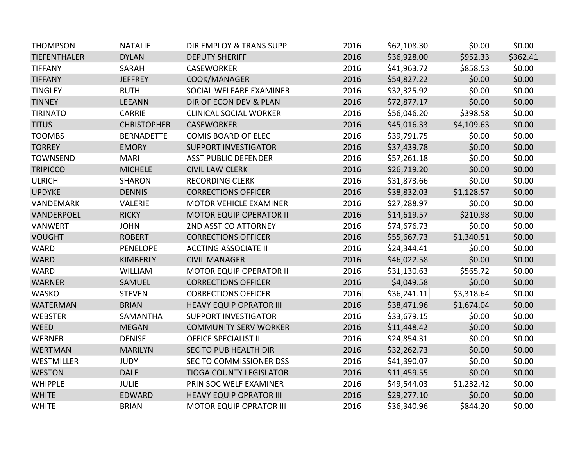| <b>THOMPSON</b>     | <b>NATALIE</b>     | DIR EMPLOY & TRANS SUPP        | 2016 | \$62,108.30 | \$0.00     | \$0.00   |
|---------------------|--------------------|--------------------------------|------|-------------|------------|----------|
| <b>TIEFENTHALER</b> | <b>DYLAN</b>       | <b>DEPUTY SHERIFF</b>          | 2016 | \$36,928.00 | \$952.33   | \$362.41 |
| <b>TIFFANY</b>      | SARAH              | <b>CASEWORKER</b>              | 2016 | \$41,963.72 | \$858.53   | \$0.00   |
| <b>TIFFANY</b>      | <b>JEFFREY</b>     | COOK/MANAGER                   | 2016 | \$54,827.22 | \$0.00     | \$0.00   |
| <b>TINGLEY</b>      | <b>RUTH</b>        | SOCIAL WELFARE EXAMINER        | 2016 | \$32,325.92 | \$0.00     | \$0.00   |
| <b>TINNEY</b>       | <b>LEEANN</b>      | DIR OF ECON DEV & PLAN         | 2016 | \$72,877.17 | \$0.00     | \$0.00   |
| <b>TIRINATO</b>     | <b>CARRIE</b>      | <b>CLINICAL SOCIAL WORKER</b>  | 2016 | \$56,046.20 | \$398.58   | \$0.00   |
| <b>TITUS</b>        | <b>CHRISTOPHER</b> | <b>CASEWORKER</b>              | 2016 | \$45,016.33 | \$4,109.63 | \$0.00   |
| <b>TOOMBS</b>       | <b>BERNADETTE</b>  | <b>COMIS BOARD OF ELEC</b>     | 2016 | \$39,791.75 | \$0.00     | \$0.00   |
| <b>TORREY</b>       | <b>EMORY</b>       | <b>SUPPORT INVESTIGATOR</b>    | 2016 | \$37,439.78 | \$0.00     | \$0.00   |
| <b>TOWNSEND</b>     | <b>MARI</b>        | <b>ASST PUBLIC DEFENDER</b>    | 2016 | \$57,261.18 | \$0.00     | \$0.00   |
| <b>TRIPICCO</b>     | <b>MICHELE</b>     | <b>CIVIL LAW CLERK</b>         | 2016 | \$26,719.20 | \$0.00     | \$0.00   |
| <b>ULRICH</b>       | <b>SHARON</b>      | <b>RECORDING CLERK</b>         | 2016 | \$31,873.66 | \$0.00     | \$0.00   |
| <b>UPDYKE</b>       | <b>DENNIS</b>      | <b>CORRECTIONS OFFICER</b>     | 2016 | \$38,832.03 | \$1,128.57 | \$0.00   |
| VANDEMARK           | <b>VALERIE</b>     | <b>MOTOR VEHICLE EXAMINER</b>  | 2016 | \$27,288.97 | \$0.00     | \$0.00   |
| VANDERPOEL          | <b>RICKY</b>       | <b>MOTOR EQUIP OPERATOR II</b> | 2016 | \$14,619.57 | \$210.98   | \$0.00   |
| <b>VANWERT</b>      | <b>JOHN</b>        | 2ND ASST CO ATTORNEY           | 2016 | \$74,676.73 | \$0.00     | \$0.00   |
| <b>VOUGHT</b>       | <b>ROBERT</b>      | <b>CORRECTIONS OFFICER</b>     | 2016 | \$55,667.73 | \$1,340.51 | \$0.00   |
| <b>WARD</b>         | <b>PENELOPE</b>    | <b>ACCTING ASSOCIATE II</b>    | 2016 | \$24,344.41 | \$0.00     | \$0.00   |
| <b>WARD</b>         | <b>KIMBERLY</b>    | <b>CIVIL MANAGER</b>           | 2016 | \$46,022.58 | \$0.00     | \$0.00   |
| <b>WARD</b>         | <b>WILLIAM</b>     | <b>MOTOR EQUIP OPERATOR II</b> | 2016 | \$31,130.63 | \$565.72   | \$0.00   |
| <b>WARNER</b>       | <b>SAMUEL</b>      | <b>CORRECTIONS OFFICER</b>     | 2016 | \$4,049.58  | \$0.00     | \$0.00   |
| <b>WASKO</b>        | <b>STEVEN</b>      | <b>CORRECTIONS OFFICER</b>     | 2016 | \$36,241.11 | \$3,318.64 | \$0.00   |
| <b>WATERMAN</b>     | <b>BRIAN</b>       | <b>HEAVY EQUIP OPRATOR III</b> | 2016 | \$38,471.96 | \$1,674.04 | \$0.00   |
| <b>WEBSTER</b>      | SAMANTHA           | <b>SUPPORT INVESTIGATOR</b>    | 2016 | \$33,679.15 | \$0.00     | \$0.00   |
| <b>WEED</b>         | <b>MEGAN</b>       | <b>COMMUNITY SERV WORKER</b>   | 2016 | \$11,448.42 | \$0.00     | \$0.00   |
| <b>WERNER</b>       | <b>DENISE</b>      | <b>OFFICE SPECIALIST II</b>    | 2016 | \$24,854.31 | \$0.00     | \$0.00   |
| <b>WERTMAN</b>      | <b>MARILYN</b>     | SEC TO PUB HEALTH DIR          | 2016 | \$32,262.73 | \$0.00     | \$0.00   |
| WESTMILLER          | <b>JUDY</b>        | SEC TO COMMISSIONER DSS        | 2016 | \$41,390.07 | \$0.00     | \$0.00   |
| <b>WESTON</b>       | <b>DALE</b>        | <b>TIOGA COUNTY LEGISLATOR</b> | 2016 | \$11,459.55 | \$0.00     | \$0.00   |
| <b>WHIPPLE</b>      | <b>JULIE</b>       | PRIN SOC WELF EXAMINER         | 2016 | \$49,544.03 | \$1,232.42 | \$0.00   |
| <b>WHITE</b>        | <b>EDWARD</b>      | <b>HEAVY EQUIP OPRATOR III</b> | 2016 | \$29,277.10 | \$0.00     | \$0.00   |
| <b>WHITE</b>        | <b>BRIAN</b>       | <b>MOTOR EQUIP OPRATOR III</b> | 2016 | \$36,340.96 | \$844.20   | \$0.00   |